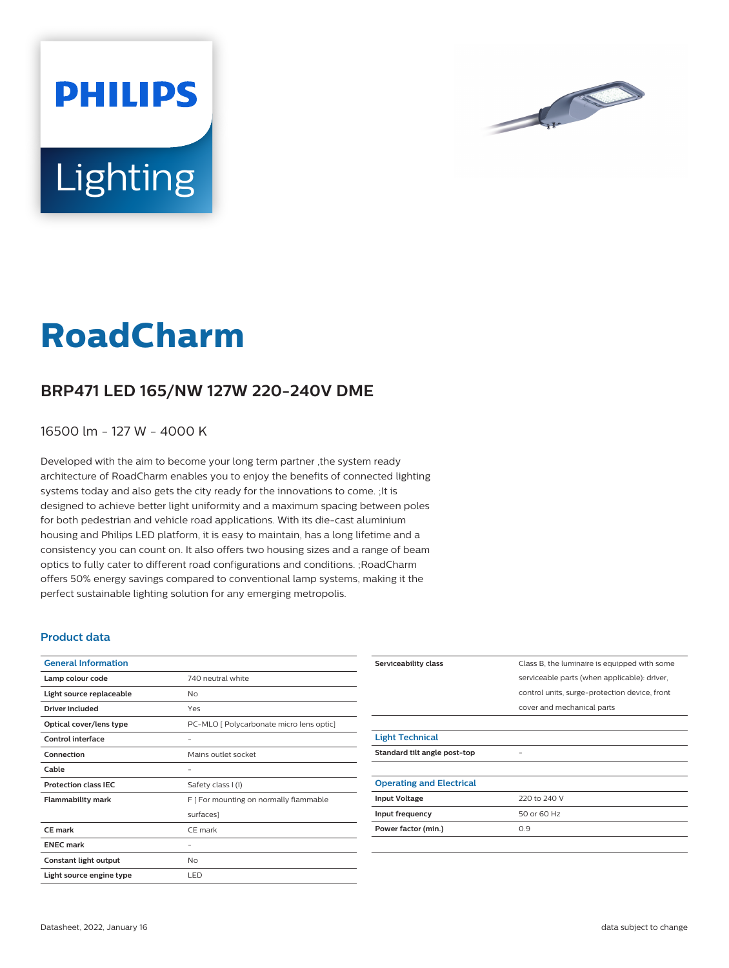



# **Lighting**

**PHILIPS** 

# **RoadCharm**

## **BRP471 LED 165/NW 127W 220-240V DME**

16500 lm - 127 W - 4000 K

Developed with the aim to become your long term partner ,the system ready architecture of RoadCharm enables you to enjoy the benefits of connected lighting systems today and also gets the city ready for the innovations to come. ;It is designed to achieve better light uniformity and a maximum spacing between poles for both pedestrian and vehicle road applications. With its die-cast aluminium housing and Philips LED platform, it is easy to maintain, has a long lifetime and a consistency you can count on. It also offers two housing sizes and a range of beam optics to fully cater to different road configurations and conditions. ;RoadCharm offers 50% energy savings compared to conventional lamp systems, making it the perfect sustainable lighting solution for any emerging metropolis.

#### **Product data**

| <b>General Information</b>  |                                          |
|-----------------------------|------------------------------------------|
| Lamp colour code            | 740 neutral white                        |
| Light source replaceable    | No                                       |
| <b>Driver included</b>      | Yes                                      |
| Optical cover/lens type     | PC-MLO [ Polycarbonate micro lens optic] |
| Control interface           |                                          |
| Connection                  | Mains outlet socket                      |
| Cable                       |                                          |
| <b>Protection class IEC</b> | Safety class I (I)                       |
| <b>Flammability mark</b>    | F [ For mounting on normally flammable   |
|                             | surfaces]                                |
| CF mark                     | CE mark                                  |
| <b>ENEC mark</b>            |                                          |
| Constant light output       | No                                       |
| Light source engine type    | LED                                      |

| Serviceability class            | Class B, the luminaire is equipped with some  |
|---------------------------------|-----------------------------------------------|
|                                 | serviceable parts (when applicable): driver,  |
|                                 | control units, surge-protection device, front |
|                                 | cover and mechanical parts                    |
|                                 |                                               |
| <b>Light Technical</b>          |                                               |
| Standard tilt angle post-top    |                                               |
|                                 |                                               |
| <b>Operating and Electrical</b> |                                               |
| <b>Input Voltage</b>            | 220 to 240 V                                  |
| Input frequency                 | 50 or 60 Hz                                   |
| Power factor (min.)             | 0.9                                           |
|                                 |                                               |